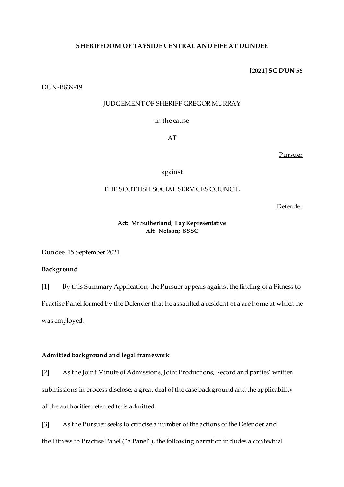# **SHERIFFDOM OF TAYSIDE CENTRAL AND FIFE AT DUNDEE**

**[2021] SC DUN 58**

DUN-B839-19

## JUDGEMENT OF SHERIFF GREGOR MURRAY

in the cause

AT

Pursuer

against

# THE SCOTTISH SOCIAL SERVICES COUNCIL

Defender

## **Act: Mr Sutherland; Lay Representative Alt: Nelson; SSSC**

Dundee, 15 September 2021

### **Background**

[1] By this Summary Application, the Pursuer appeals against the finding of a Fitness to Practise Panel formed by the Defender that he assaulted a resident of a are home at which he was employed.

## **Admitted background and legal framework**

[2] As the Joint Minute of Admissions, Joint Productions, Record and parties' written submissions in process disclose, a great deal of the case background and the applicability of the authorities referred to is admitted.

[3] As the Pursuer seeks to criticise a number of the actions of the Defender and the Fitness to Practise Panel ("a Panel"), the following narration includes a contextual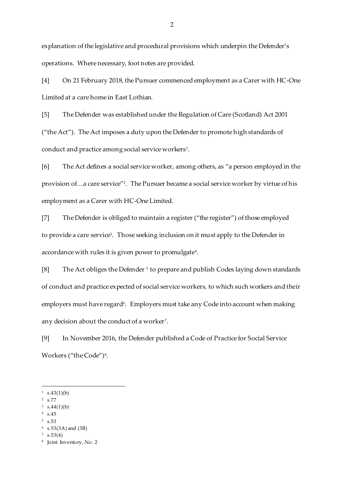explanation of the legislative and procedural provisions which underpin the Defender's operations. Where necessary, foot notes are provided.

[4] On 21 February 2018, the Pursuer commenced employment as a Carer with HC-One Limited at a care home in East Lothian.

[5] The Defender was established under the Regulation of Care (Scotland) Act 2001 ("the Act"). The Act imposes a duty upon the Defender to promote high standards of conduct and practice among social service workers<sup>1</sup> .

[6] The Act defines a social service worker, among others, as "a person employed in the provision of…a care service"<sup>2</sup> . The Pursuer became a social service worker by virtue of his employment as a Carer with HC-One Limited.

[7] The Defender is obliged to maintain a register ("the register") of those employed to provide a care service<sup>3</sup>. Those seeking inclusion on it must apply to the Defender in accordance with rules it is given power to promulgate<sup>4</sup>.

[8] The Act obliges the Defender <sup>5</sup> to prepare and publish Codes laying down standards of conduct and practice expected of social service workers, to which such workers and their employers must have regard<sup>6</sup>. Employers must take any Code into account when making any decision about the conduct of a worker<sup>7</sup>.

[9] In November 2016, the Defender published a Code of Practice for Social Service Workers ("the Code")<sup>8</sup>.

 $\overline{a}$ 

5 s.53

 $1 \quad s.43(1)(b)$ 

<sup>2</sup> s.77

 $3 \text{ s}.44(1)(b)$ 

<sup>4</sup> s.45

<sup>6</sup> s.53(3A) and (3B)

 $\frac{7}{5}$  s.53(4)

<sup>8</sup> Joint Inventory, No. 2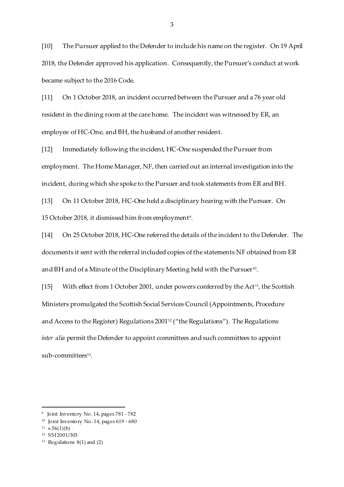[10] The Pursuer applied to the Defender to include his name on the register. On 19 April 2018, the Defender approved his application. Consequently, the Pursuer's conduct at work became subject to the 2016 Code.

[11] On 1 October 2018, an incident occurred between the Pursuer and a 76 year old resident in the dining room at the care home. The incident was witnessed by ER, an employee of HC-One, and BH, the husband of another resident.

[12] Immediately following the incident, HC-One suspended the Pursuer from employment. The Home Manager, NF, then carried out an internal investigation into the incident, during which she spoke to the Pursuer and took statements from ER and BH.

[13] On 11 October 2018, HC-One held a disciplinary hearing with the Pursuer. On 15 October 2018, it dismissed him from employment<sup>9</sup>.

[14] On 25 October 2018, HC-One referred the details of the incident to the Defender. The documents it sent with the referral included copies of the statements NF obtained from ER and BH and of a Minute of the Disciplinary Meeting held with the Pursuer $^{\scriptstyle 10}$ .

[15] With effect from 1 October 2001, under powers conferred by the Act<sup>11</sup>, the Scottish Ministers promulgated the Scottish Social Services Council (Appointments, Procedure and Access to the Register) Regulations 2001<sup>12</sup> ("the Regulations"). The Regulations *inter alia* permit the Defender to appoint committees and such committees to appoint sub-committees<sup>13</sup>.

 $\overline{a}$ 

<sup>9</sup> Joint Inventory No. 14, pages 781 - 782

<sup>10</sup> Joint Inventory No. 14, pages 619 - 680

 $11$  s.56(1)(b)

<sup>12</sup> SSI 2001/303

 $13$  Regulations  $8(1)$  and  $(2)$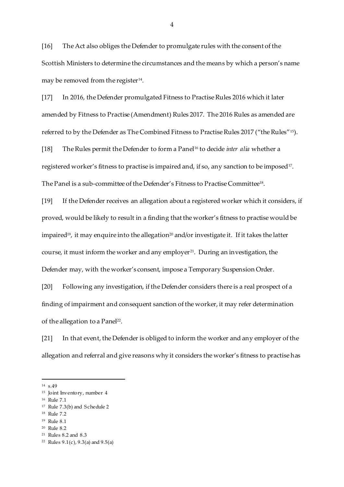[16] The Act also obliges the Defender to promulgate rules with the consent of the Scottish Ministers to determine the circumstances and the means by which a person's name may be removed from the register $^{\scriptstyle 14}$ .

[17] In 2016, the Defender promulgated Fitness to Practise Rules 2016 which it later amended by Fitness to Practise (Amendment) Rules 2017. The 2016 Rules as amended are referred to by the Defender as The Combined Fitness to Practise Rules 2017 ("the Rules"15).

[18] The Rules permit the Defender to form a Panel<sup>16</sup> to decide *inter alia* whether a registered worker's fitness to practise is impaired and, if so, any sanction to be imposed<sup>17</sup>. The Panel is a sub-committee of the Defender's Fitness to Practise Committee<sup>18</sup>.

[19] If the Defender receives an allegation about a registered worker which it considers, if proved, would be likely to result in a finding that the worker's fitness to practise would be impaired<sup>19</sup>, it may enquire into the allegation<sup>20</sup> and/or investigate it. If it takes the latter course, it must inform the worker and any employer <sup>21</sup> . During an investigation, the Defender may, with the worker's consent, impose a Temporary Suspension Order.

[20] Following any investigation, if the Defender considers there is a real prospect of a finding of impairment and consequent sanction of the worker, it may refer determination of the allegation to a Panel<sup>22</sup>.

[21] In that event, the Defender is obliged to inform the worker and any employer of the allegation and referral and give reasons why it considers the worker's fitness to practise has

 $\overline{a}$ 

- <sup>16</sup> Rule 7.1
- <sup>17</sup> Rule 7.3(b) and Schedule 2
- <sup>18</sup> Rule 7.2
- <sup>19</sup> Rule 8.1

<sup>21</sup> Rules 8.2 and 8.3

<sup>14</sup> s.49

<sup>15</sup> Joint Inventory, number 4

<sup>20</sup> Rule 8.2

<sup>22</sup> Rules 9.1(c), 9.3(a) and 9.5(a)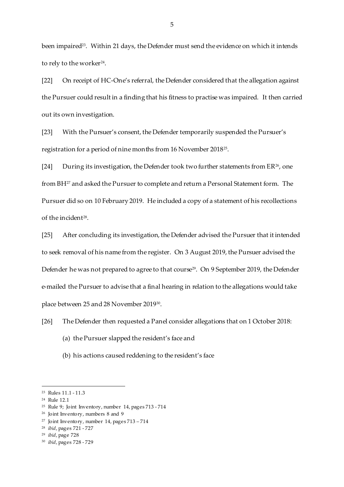been impaired<sup>23</sup>. Within 21 days, the Defender must send the evidence on which it intends to rely to the worker $^\mathrm{24}.$ 

[22] On receipt of HC-One's referral, the Defender considered that the allegation against the Pursuer could result in a finding that his fitness to practise was impaired. It then carried out its own investigation.

[23] With the Pursuer's consent, the Defender temporarily suspended the Pursuer's registration for a period of nine months from 16 November 2018<sup>25</sup> .

[24] During its investigation, the Defender took two further statements from  $ER^{26}$ , one from BH<sup>27</sup> and asked the Pursuer to complete and return a Personal Statement form. The Pursuer did so on 10 February 2019. He included a copy of a statement of his recollections of the incident<sup>28</sup>.

[25] After concluding its investigation, the Defender advised the Pursuer that it intended to seek removal of his name from the register. On 3 August 2019, the Pursuer advised the Defender he was not prepared to agree to that course<sup>29</sup>. On 9 September 2019, the Defender e-mailed the Pursuer to advise that a final hearing in relation to the allegations would take place between 25 and 28 November 201930.

[26] The Defender then requested a Panel consider allegations that on 1 October 2018:

- (a) the Pursuer slapped the resident's face and
- (b) his actions caused reddening to the resident's face

 $\overline{a}$ 

<sup>28</sup> *ibid*, pages 721 - 727

<sup>30</sup> *ibid*, pages 728 - 729

<sup>23</sup> Rules 11.1 - 11.3

<sup>24</sup> Rule 12.1

<sup>25</sup> Rule 9; Joint Inventory, number 14, pages 713 - 714

<sup>26</sup> Joint Inventory, numbers 8 and 9

<sup>27</sup> Joint Inventory, number 14, pages 713 – 714

<sup>29</sup> *ibid*, page 728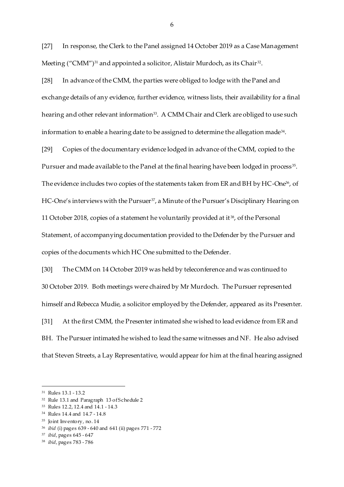[27] In response, the Clerk to the Panel assigned 14 October 2019 as a Case Management Meeting ("CMM")<sup>31</sup> and appointed a solicitor, Alistair Murdoch, as its Chair<sup>32</sup>.

[28] In advance of the CMM, the parties were obliged to lodge with the Panel and exchange details of any evidence, further evidence, witness lists, their availability for a final hearing and other relevant information $^{\scriptscriptstyle 33}$ . A CMM Chair and Clerk are obliged to use such information to enable a hearing date to be assigned to determine the allegation made $^{\scriptscriptstyle 34}$ .

[29] Copies of the documentary evidence lodged in advance of the CMM, copied to the Pursuer and made available to the Panel at the final hearing have been lodged in process $^{\text{35}}$ . The evidence includes two copies of the statements taken from ER and BH by HC-One<sup>36</sup>, of HC-One's interviews with the Pursuer<sup>37</sup>, a Minute of the Pursuer's Disciplinary Hearing on 11 October 2018, copies of a statement he voluntarily provided at it <sup>38</sup>, of the Personal Statement, of accompanying documentation provided to the Defender by the Pursuer and copies of the documents which HC One submitted to the Defender.

[30] The CMM on 14 October 2019 was held by teleconference and was continued to 30 October 2019. Both meetings were chaired by Mr Murdoch. The Pursuer represented himself and Rebecca Mudie, a solicitor employed by the Defender, appeared as its Presenter. [31] At the first CMM, the Presenter intimated she wished to lead evidence from ER and BH. The Pursuer intimated he wished to lead the same witnesses and NF. He also advised that Steven Streets, a Lay Representative, would appear for him at the final hearing assigned

 $\overline{a}$ 

- <sup>32</sup> Rule 13.1 and Paragraph 13 of Schedule 2
- <sup>33</sup> Rules 12.2, 12.4 and 14.1 14.3
- <sup>34</sup> Rules 14.4 and 14.7 14.8
- <sup>35</sup> Joint Inventory, no. 14

<sup>37</sup> *ibid*, pages 645 - 647

<sup>31</sup> Rules 13.1 - 13.2

<sup>36</sup> *ibid* (i) pages 639 - 640 and 641 (ii) pages 771 - 772

<sup>38</sup> *ibid*, pages 783 - 786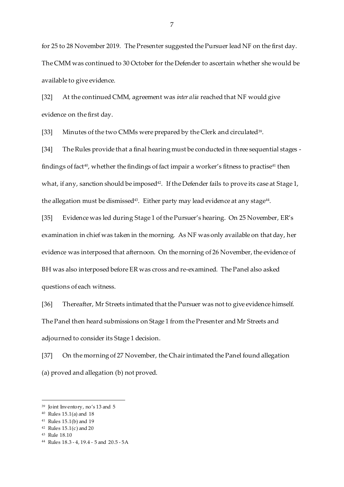for 25 to 28 November 2019. The Presenter suggested the Pursuer lead NF on the first day. The CMM was continued to 30 October for the Defender to ascertain whether she would be available to give evidence.

[32] At the continued CMM, agreement was *inter alia* reached that NF would give evidence on the first day.

[33] Minutes of the two CMMs were prepared by the Clerk and circulated<sup>39</sup>.

[34] The Rules provide that a final hearing must be conducted in three sequential stages findings of fact<sup>40</sup>, whether the findings of fact impair a worker's fitness to practise<sup>41</sup> then what, if any, sanction should be imposed<sup>42</sup>. If the Defender fails to prove its case at Stage 1, the allegation must be dismissed $\rm ^{43}$ . Either party may lead evidence at any stage $\rm ^{44}$ .

[35] Evidence was led during Stage 1 of the Pursuer's hearing. On 25 November, ER's examination in chief was taken in the morning. As NF was only available on that day, her evidence was interposed that afternoon. On the morning of 26 November, the evidence of BH was also interposed before ER was cross and re-examined. The Panel also asked questions of each witness.

[36] Thereafter, Mr Streets intimated that the Pursuer was not to give evidence himself. The Panel then heard submissions on Stage 1 from the Presenter and Mr Streets and adjourned to consider its Stage 1 decision.

[37] On the morning of 27 November, the Chair intimated the Panel found allegation (a) proved and allegation (b) not proved.

<sup>39</sup> Joint Inventory, no's 13 and 5

<sup>40</sup> Rules 15.1(a) and 18

<sup>41</sup> Rules 15.1(b) and 19

<sup>42</sup> Rules 15.1(c) and 20

<sup>43</sup> Rule 18.10

<sup>44</sup> Rules 18.3 - 4, 19.4 - 5 and 20.5 - 5A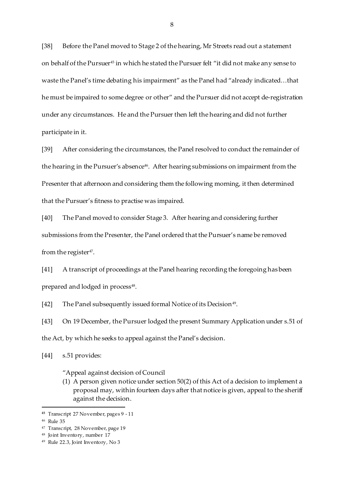[38] Before the Panel moved to Stage 2 of the hearing, Mr Streets read out a statement on behalf of the Pursuer<sup>45</sup> in which he stated the Pursuer felt "it did not make any sense to waste the Panel's time debating his impairment" as the Panel had "already indicated…that he must be impaired to some degree or other" and the Pursuer did not accept de-registration under any circumstances. He and the Pursuer then left the hearing and did not further participate in it.

[39] After considering the circumstances, the Panel resolved to conduct the remainder of the hearing in the Pursuer's absence<sup>46</sup>. After hearing submissions on impairment from the Presenter that afternoon and considering them the following morning, it then determined that the Pursuer's fitness to practise was impaired.

[40] The Panel moved to consider Stage 3. After hearing and considering further submissions from the Presenter, the Panel ordered that the Pursuer's name be removed from the register $47$ .

[41] A transcript of proceedings at the Panel hearing recording the foregoing has been prepared and lodged in process $^{\rm 48}.$ 

[42] The Panel subsequently issued formal Notice of its Decision<sup>49</sup>.

[43] On 19 December, the Pursuer lodged the present Summary Application under s.51 of the Act, by which he seeks to appeal against the Panel's decision.

[44] s.51 provides:

"Appeal against decision of Council

(1) A person given notice under section 50(2) of this Act of a decision to implement a proposal may, within fourteen days after that notice is given, appeal to the sheriff against the decision.

**<sup>45</sup>** Transcript 27 November, pages 9 - 11

<sup>46</sup> Rule 35

<sup>47</sup> Transcript, 28 November, page 19

<sup>48</sup> Joint Inventory, number 17

<sup>49</sup> Rule 22.3, Joint Inventory, No 3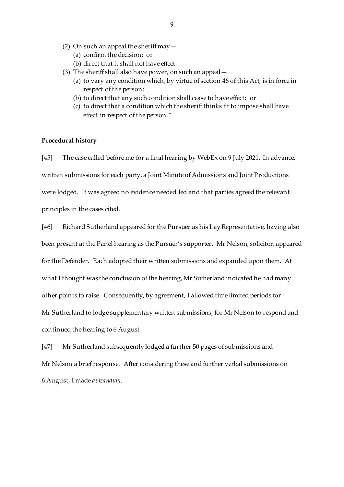- (2) On such an appeal the sheriff may  $-$ 
	- (a) confirm the decision; or
	- (b) direct that it shall not have effect.
- (3) The sheriff shall also have power, on such an appeal—
	- (a) to vary any condition which, by virtue of section 46 of this Act, is in force in respect of the person;
	- (b) to direct that any such condition shall cease to have effect; or
	- (c) to direct that a condition which the sheriff thinks fit to impose shall have effect in respect of the person."

#### **Procedural history**

[45] The case called before me for a final hearing by WebEx on 9 July 2021. In advance, written submissions for each party, a Joint Minute of Admissions and Joint Productions were lodged. It was agreed no evidence needed led and that parties agreed the relevant principles in the cases cited.

[46] Richard Sutherland appeared for the Pursuer as his Lay Representative, having also been present at the Panel hearing as the Pursuer's supporter. Mr Nelson, solicitor, appeared for the Defender. Each adopted their written submissions and expanded upon them. At what I thought was the conclusion of the hearing, Mr Sutherland indicated he had many other points to raise. Consequently, by agreement, I allowed time limited periods for Mr Sutherland to lodge supplementary written submissions, for Mr Nelson to respond and continued the hearing to 6 August.

[47] Mr Sutherland subsequently lodged a further 50 pages of submissions and Mr Nelson a brief response. After considering these and further verbal submissions on 6 August, I made *avizandum*.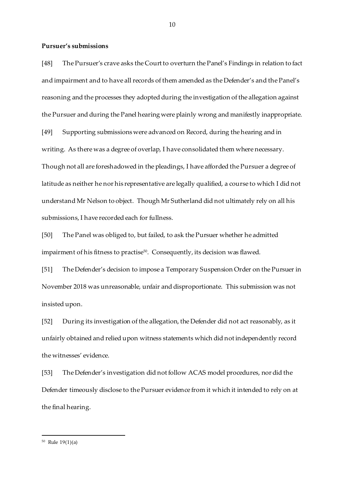### **Pursuer's submissions**

[48] The Pursuer's crave asks the Court to overturn the Panel's Findings in relation to fact and impairment and to have all records of them amended as the Defender's and the Panel's reasoning and the processes they adopted during the investigation of the allegation against the Pursuer and during the Panel hearing were plainly wrong and manifestly inappropriate. [49] Supporting submissions were advanced on Record, during the hearing and in writing. As there was a degree of overlap, I have consolidated them where necessary. Though not all are foreshadowed in the pleadings, I have afforded the Pursuer a degree of latitude as neither he nor his representative are legally qualified, a course to which I did not understand Mr Nelson to object. Though Mr Sutherland did not ultimately rely on all his submissions, I have recorded each for fullness.

[50] The Panel was obliged to, but failed, to ask the Pursuer whether he admitted impairment of his fitness to practise $^{\rm 50}.$  Consequently, its decision was flawed.

[51] The Defender's decision to impose a Temporary Suspension Order on the Pursuer in November 2018 was unreasonable, unfair and disproportionate. This submission was not insisted upon.

[52] During its investigation of the allegation, the Defender did not act reasonably, as it unfairly obtained and relied upon witness statements which did not independently record the witnesses' evidence.

[53] The Defender's investigation did not follow ACAS model procedures, nor did the Defender timeously disclose to the Pursuer evidence from it which it intended to rely on at the final hearing.

<sup>50</sup> Rule 19(1)(a)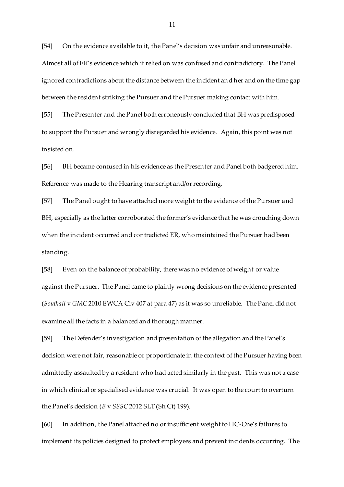[54] On the evidence available to it, the Panel's decision was unfair and unreasonable. Almost all of ER's evidence which it relied on was confused and contradictory. The Panel ignored contradictions about the distance between the incident and her and on the time gap between the resident striking the Pursuer and the Pursuer making contact with him.

[55] The Presenter and the Panel both erroneously concluded that BH was predisposed to support the Pursuer and wrongly disregarded his evidence. Again, this point was not insisted on.

[56] BH became confused in his evidence as the Presenter and Panel both badgered him. Reference was made to the Hearing transcript and/or recording.

[57] The Panel ought to have attached more weight to the evidence of the Pursuer and BH, especially as the latter corroborated the former's evidence that he was crouching down when the incident occurred and contradicted ER, who maintained the Pursuer had been standing.

[58] Even on the balance of probability, there was no evidence of weight or value against the Pursuer. The Panel came to plainly wrong decisions on the evidence presented (*Southall* v *GMC* 2010 EWCA Civ 407 at para 47) as it was so unreliable. The Panel did not examine all the facts in a balanced and thorough manner.

[59] The Defender's investigation and presentation of the allegation and the Panel's decision were not fair, reasonable or proportionate in the context of the Pursuer having been admittedly assaulted by a resident who had acted similarly in the past. This was not a case in which clinical or specialised evidence was crucial. It was open to the court to overturn the Panel's decision (*B* v *SSSC* 2012 SLT (Sh Ct) 199).

[60] In addition, the Panel attached no or insufficient weight to HC-One's failures to implement its policies designed to protect employees and prevent incidents occurring. The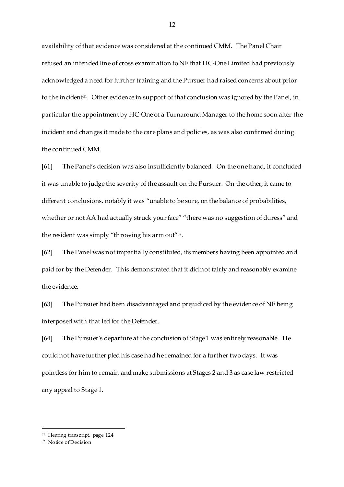availability of that evidence was considered at the continued CMM. The Panel Chair refused an intended line of cross examination to NF that HC-One Limited had previously acknowledged a need for further training and the Pursuer had raised concerns about prior to the incident $^{\mathsf{51}}$ . Other evidence in support of that conclusion was ignored by the Panel, in particular the appointment by HC-One of a Turnaround Manager to the home soon after the incident and changes it made to the care plans and policies, as was also confirmed during the continued CMM.

[61] The Panel's decision was also insufficiently balanced. On the one hand, it concluded it was unable to judge the severity of the assault on the Pursuer. On the other, it came to different conclusions, notably it was "unable to be sure, on the balance of probabilities, whether or not AA had actually struck your face" "there was no suggestion of duress" and the resident was simply "throwing his arm out" 52 .

[62] The Panel was not impartially constituted, its members having been appointed and paid for by the Defender. This demonstrated that it did not fairly and reasonably examine the evidence.

[63] The Pursuer had been disadvantaged and prejudiced by the evidence of NF being interposed with that led for the Defender.

[64] The Pursuer's departure at the conclusion of Stage 1 was entirely reasonable. He could not have further pled his case had he remained for a further two days. It was pointless for him to remain and make submissions at Stages 2 and 3 as case law restricted any appeal to Stage 1.

<sup>51</sup> Hearing transcript, page 124

<sup>52</sup> Notice of Decision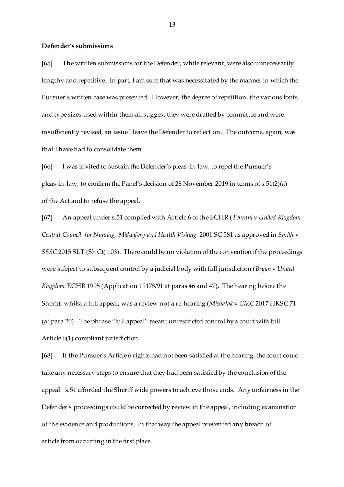#### **Defender's submissions**

[65] The written submissions for the Defender, while relevant, were also unnecessarily lengthy and repetitive. In part, I am sure that was necessitated by the manner in which the Pursuer's written case was presented. However, the degree of repetition, the various fonts and type sizes used within them all suggest they were drafted by committee and were insufficiently revised, an issue I leave the Defender to reflect on. The outcome, again, was that I have had to consolidate them.

[66] I was invited to sustain the Defender's pleas-in-law, to repel the Pursuer's pleas-in-law, to confirm the Panel's decision of 28 November 2019 in terms of s.51(2)(a) of the Act and to refuse the appeal.

[67] An appeal under s.51 complied with Article 6 of the ECHR (*Tehrani* v *United Kingdom Central Council for Nursing, Midwifery and Health Visiting* 2001 SC 581 as approved in *Smith* v *SSSC* 2015 SLT (Sh Ct) 103). There could be no violation of the convention if the proceedings were subject to subsequent control by a judicial body with full jurisdiction (*Bryan* v *United Kingdom* ECHR 1995 (Application 19178/91 at paras 46 and 47). The hearing before the Sheriff, whilst a full appeal, was a review not a re-hearing (*Michalak* v *GMC* 2017 HKSC 71 (at para 20). The phrase "full appeal" meant unrestricted control by a court with full Article 6(1) compliant jurisdiction.

[68] If the Pursuer's Article 6 rights had not been satisfied at the hearing, the court could take any necessary steps to ensure that they had been satisfied by the conclusion of the appeal. s.51 afforded the Sheriff wide powers to achieve those ends. Any unfairness in the Defender's proceedings could be corrected by review in the appeal, including examination of the evidence and productions. In that way the appeal prevented any breach of article from occurring in the first place.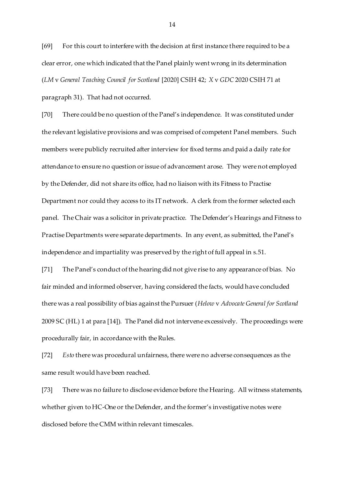[69] For this court to interfere with the decision at first instance there required to be a clear error, one which indicated that the Panel plainly went wrong in its determination (*LM* v *General Teaching Council for Scotland* [2020] CSIH 42; *X* v *GDC* 2020 CSIH 71 at paragraph 31). That had not occurred.

[70] There could be no question of the Panel's independence. It was constituted under the relevant legislative provisions and was comprised of competent Panel members. Such members were publicly recruited after interview for fixed terms and paid a daily rate for attendance to ensure no question or issue of advancement arose. They were not employed by the Defender, did not share its office, had no liaison with its Fitness to Practise Department nor could they access to its IT network. A clerk from the former selected each panel. The Chair was a solicitor in private practice. The Defender's Hearings and Fitness to Practise Departments were separate departments. In any event, as submitted, the Panel's independence and impartiality was preserved by the right of full appeal in s.51.

[71] The Panel's conduct of the hearing did not give rise to any appearance of bias. No fair minded and informed observer, having considered the facts, would have concluded there was a real possibility of bias against the Pursuer (*Helow* v *Advocate General for Scotland*  2009 SC (HL) 1 at para [14]). The Panel did not intervene excessively. The proceedings were procedurally fair, in accordance with the Rules.

[72] *Esto* there was procedural unfairness, there were no adverse consequences as the same result would have been reached.

[73] There was no failure to disclose evidence before the Hearing. All witness statements, whether given to HC-One or the Defender, and the former's investigative notes were disclosed before the CMM within relevant timescales.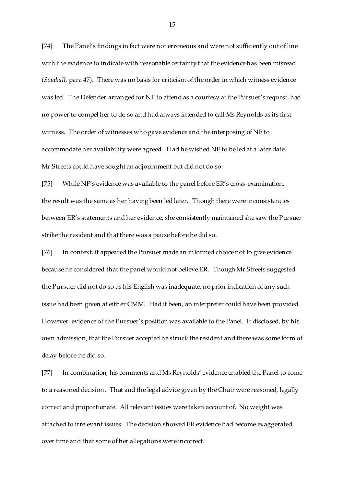[74] The Panel's findings in fact were not erroneous and were not sufficiently out of line with the evidence to indicate with reasonable certainty that the evidence has been misread (*Southall,* para 47). There was no basis for criticism of the order in which witness evidence was led. The Defender arranged for NF to attend as a courtesy at the Pursuer's request, had no power to compel her to do so and had always intended to call Ms Reynolds as its first witness. The order of witnesses who gave evidence and the interposing of NF to accommodate her availability were agreed. Had he wished NF to be led at a later date, Mr Streets could have sought an adjournment but did not do so.

[75] While NF's evidence was available to the panel before ER's cross-examination, the result was the same as her having been led later. Though there were inconsistencies between ER's statements and her evidence, she consistently maintained she saw the Pursuer strike the resident and that there was a pause before he did so.

[76] In context, it appeared the Pursuer made an informed choice not to give evidence because he considered that the panel would not believe ER. Though Mr Streets suggested the Pursuer did not do so as his English was inadequate, no prior indication of any such issue had been given at either CMM. Had it been, an interpreter could have been provided. However, evidence of the Pursuer's position was available to the Panel. It disclosed, by his own admission, that the Pursuer accepted he struck the resident and there was some form of delay before he did so.

[77] In combination, his comments and Ms Reynolds' evidence enabled the Panel to come to a reasoned decision. That and the legal advice given by the Chair were reasoned, legally correct and proportionate. All relevant issues were taken account of. No weight was attached to irrelevant issues. The decision showed ER evidence had become exaggerated over time and that some of her allegations were incorrect.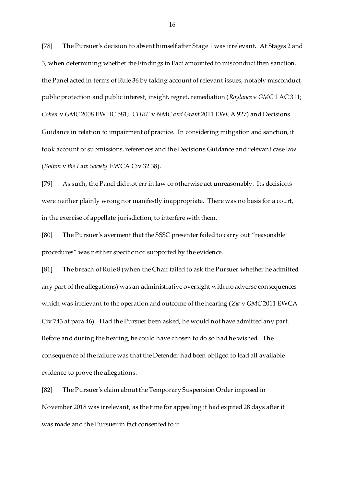[78] The Pursuer's decision to absent himself after Stage 1 was irrelevant. At Stages 2 and 3, when determining whether the Findings in Fact amounted to misconduct then sanction, the Panel acted in terms of Rule 36 by taking account of relevant issues, notably misconduct, public protection and public interest, insight, regret, remediation (*Roylance* v *GMC* 1 AC 311; *Cohen* v *GMC* 2008 EWHC 581; *CHRE* v *NMC and Grant* 2011 EWCA 927) and Decisions Guidance in relation to impairment of practice. In considering mitigation and sanction, it took account of submissions, references and the Decisions Guidance and relevant case law (*Bolton* v *the Law Society* EWCA Civ 32 38).

[79] As such, the Panel did not err in law or otherwise act unreasonably. Its decisions were neither plainly wrong nor manifestly inappropriate. There was no basis for a court, in the exercise of appellate jurisdiction, to interfere with them.

[80] The Pursuer's averment that the SSSC presenter failed to carry out "reasonable procedures" was neither specific nor supported by the evidence.

[81] The breach of Rule 8 (when the Chair failed to ask the Pursuer whether he admitted any part of the allegations) was an administrative oversight with no adverse consequences which was irrelevant to the operation and outcome of the hearing (*Zia* v *GMC* 2011 EWCA Civ 743 at para 46). Had the Pursuer been asked, he would not have admitted any part. Before and during the hearing, he could have chosen to do so had he wished. The consequence of the failure was that the Defender had been obliged to lead all available evidence to prove the allegations.

[82] The Pursuer's claim about the Temporary Suspension Order imposed in November 2018 was irrelevant, as the time for appealing it had expired 28 days after it was made and the Pursuer in fact consented to it.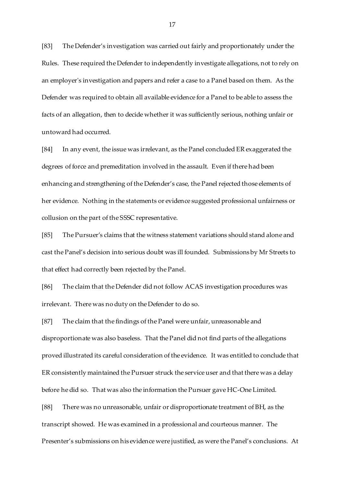[83] The Defender's investigation was carried out fairly and proportionately under the Rules. These required the Defender to independently investigate allegations, not to rely on an employer's investigation and papers and refer a case to a Panel based on them. As the Defender was required to obtain all available evidence for a Panel to be able to assess the facts of an allegation, then to decide whether it was sufficiently serious, nothing unfair or untoward had occurred.

[84] In any event, the issue was irrelevant, as the Panel concluded ER exaggerated the degrees of force and premeditation involved in the assault. Even if there had been enhancing and strengthening of the Defender's case, the Panel rejected those elements of her evidence. Nothing in the statements or evidence suggested professional unfairness or collusion on the part of the SSSC representative.

[85] The Pursuer's claims that the witness statement variations should stand alone and cast the Panel's decision into serious doubt was ill founded. Submissions by Mr Streets to that effect had correctly been rejected by the Panel.

[86] The claim that the Defender did not follow ACAS investigation procedures was irrelevant. There was no duty on the Defender to do so.

[87] The claim that the findings of the Panel were unfair, unreasonable and disproportionate was also baseless. That the Panel did not find parts of the allegations proved illustrated its careful consideration of the evidence. It was entitled to conclude that ER consistently maintained the Pursuer struck the service user and that there was a delay before he did so. That was also the information the Pursuer gave HC-One Limited. [88] There was no unreasonable, unfair or disproportionate treatment of BH, as the transcript showed. He was examined in a professional and courteous manner. The

Presenter's submissions on his evidence were justified, as were the Panel's conclusions. At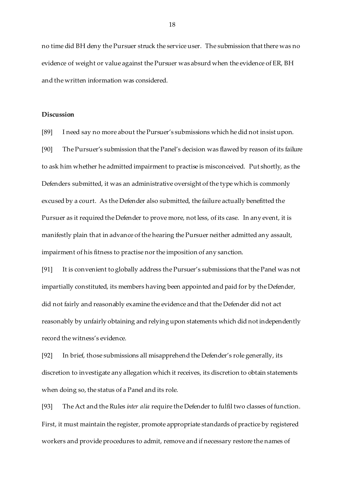no time did BH deny the Pursuer struck the service user. The submission that there was no evidence of weight or value against the Pursuer was absurd when the evidence of ER, BH and the written information was considered.

#### **Discussion**

[89] I need say no more about the Pursuer's submissions which he did not insist upon. [90] The Pursuer's submission that the Panel's decision was flawed by reason of its failure to ask him whether he admitted impairment to practise is misconceived. Put shortly, as the Defenders submitted, it was an administrative oversight of the type which is commonly excused by a court. As the Defender also submitted, the failure actually benefitted the Pursuer as it required the Defender to prove more, not less, of its case. In any event, it is manifestly plain that in advance of the hearing the Pursuer neither admitted any assault, impairment of his fitness to practise nor the imposition of any sanction.

[91] It is convenient to globally address the Pursuer's submissions that the Panel was not impartially constituted, its members having been appointed and paid for by the Defender, did not fairly and reasonably examine the evidence and that the Defender did not act reasonably by unfairly obtaining and relying upon statements which did not independently record the witness's evidence.

[92] In brief, those submissions all misapprehend the Defender's role generally, its discretion to investigate any allegation which it receives, its discretion to obtain statements when doing so, the status of a Panel and its role.

[93] The Act and the Rules *inter alia* require the Defender to fulfil two classes of function. First, it must maintain the register, promote appropriate standards of practice by registered workers and provide procedures to admit, remove and if necessary restore the names of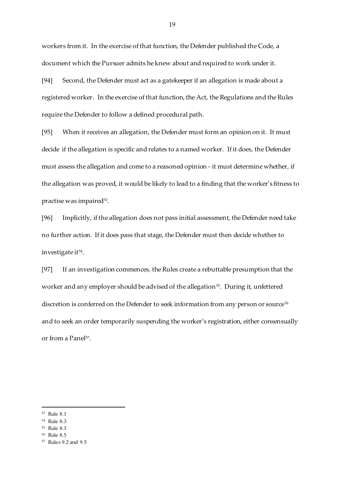workers from it. In the exercise of that function, the Defender published the Code, a document which the Pursuer admits he knew about and required to work under it.

[94] Second, the Defender must act as a gatekeeper if an allegation is made about a registered worker. In the exercise of that function, the Act, the Regulations and the Rules require the Defender to follow a defined procedural path.

[95] When it receives an allegation, the Defender must form an opinion on it. It must decide if the allegation is specific and relates to a named worker. If it does, the Defender must assess the allegation and come to a reasoned opinion - it must determine whether, if the allegation was proved, it would be likely to lead to a finding that the worker's fitness to practise was impaired $^{53}$ .

[96] Implicitly, if the allegation does not pass initial assessment, the Defender need take no further action. If it does pass that stage, the Defender must then decide whether to investigate it<sup>54</sup>.

[97] If an investigation commences, the Rules create a rebuttable presumption that the worker and any employer should be advised of the allegation<sup>55</sup>. During it, unfettered discretion is conferred on the Defender to seek information from any person or source<sup>56</sup> and to seek an order temporarily suspending the worker's registration, either consensually or from a Panel<sup>57</sup>.

 $\overline{a}$ 

<sup>55</sup> Rule 8.3

<sup>53</sup> Rule 8.1

<sup>54</sup> Rule 8.3

<sup>56</sup> Rule 8.5

<sup>57</sup> Rules 9.2 and 9.5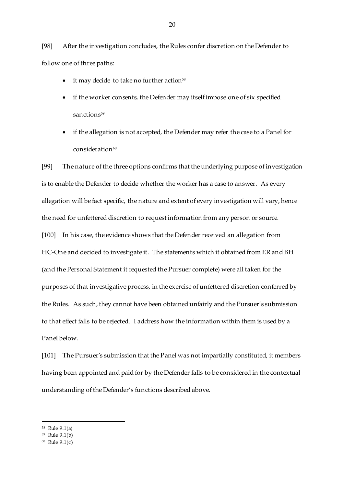[98] After the investigation concludes, the Rules confer discretion on the Defender to follow one of three paths:

- it may decide to take no further action<sup>58</sup>
- if the worker consents, the Defender may itself impose one of six specified sanctions<sup>59</sup>
- if the allegation is not accepted, the Defender may refer the case to a Panel for  $\cos$ ideration $60$

[99] The nature of the three options confirms that the underlying purpose of investigation is to enable the Defender to decide whether the worker has a case to answer. As every allegation will be fact specific, the nature and extent of every investigation will vary, hence the need for unfettered discretion to request information from any person or source. [100] In his case, the evidence shows that the Defender received an allegation from HC-One and decided to investigate it. The statements which it obtained from ER and BH (and the Personal Statement it requested the Pursuer complete) were all taken for the purposes of that investigative process, in the exercise of unfettered discretion conferred by the Rules. As such, they cannot have been obtained unfairly and the Pursuer's submission to that effect falls to be rejected. I address how the information within them is used by a Panel below.

[101] The Pursuer's submission that the Panel was not impartially constituted, it members having been appointed and paid for by the Defender falls to be considered in the contextual understanding of the Defender's functions described above.

<sup>58</sup> Rule 9.1(a)

<sup>59</sup> Rule 9.1(b)

<sup>60</sup> Rule 9.1(c)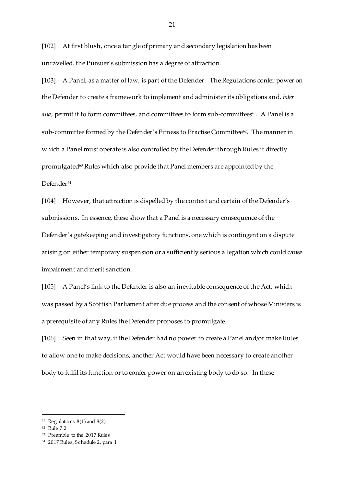[102] At first blush, once a tangle of primary and secondary legislation has been unravelled, the Pursuer's submission has a degree of attraction.

[103] A Panel, as a matter of law, is part of the Defender. The Regulations confer power on the Defender to create a framework to implement and administer its obligations and, *inter alia,* permit it to form committees*,* and committees to form sub-committees<sup>61</sup>. A Panel is a sub-committee formed by the Defender's Fitness to Practise Committee62. The manner in which a Panel must operate is also controlled by the Defender through Rules it directly promulgated<sup>63</sup> Rules which also provide that Panel members are appointed by the Defender<sup>64</sup>

[104] However, that attraction is dispelled by the context and certain of the Defender's submissions. In essence, these show that a Panel is a necessary consequence of the Defender's gatekeeping and investigatory functions, one which is contingent on a dispute arising on either temporary suspension or a sufficiently serious allegation which could cause impairment and merit sanction.

[105] A Panel's link to the Defender is also an inevitable consequence of the Act, which was passed by a Scottish Parliament after due process and the consent of whose Ministers is a prerequisite of any Rules the Defender proposes to promulgate.

[106] Seen in that way, if the Defender had no power to create a Panel and/or make Rules to allow one to make decisions, another Act would have been necessary to create another body to fulfil its function or to confer power on an existing body to do so. In these

 $61$  Regulations  $8(1)$  and  $8(2)$ 

<sup>62</sup> Rule 7.2

<sup>63</sup> Preamble to the 2017 Rules

<sup>64</sup> 2017 Rules, Schedule 2, para 1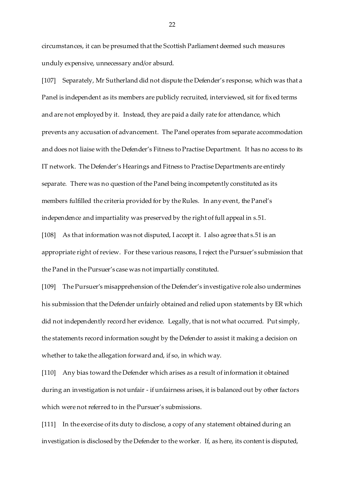circumstances, it can be presumed that the Scottish Parliament deemed such measures unduly expensive, unnecessary and/or absurd.

[107] Separately, Mr Sutherland did not dispute the Defender's response, which was that a Panel is independent as its members are publicly recruited, interviewed, sit for fixed terms and are not employed by it. Instead, they are paid a daily rate for attendance, which prevents any accusation of advancement. The Panel operates from separate accommodation and does not liaise with the Defender's Fitness to Practise Department. It has no access to its IT network. The Defender's Hearings and Fitness to Practise Departments are entirely separate. There was no question of the Panel being incompetently constituted as its members fulfilled the criteria provided for by the Rules. In any event, the Panel's independence and impartiality was preserved by the right of full appeal in s.51.

[108] As that information was not disputed, I accept it. I also agree that s.51 is an appropriate right of review. For these various reasons, I reject the Pursuer's submission that the Panel in the Pursuer's case was not impartially constituted.

[109] The Pursuer's misapprehension of the Defender's investigative role also undermines his submission that the Defender unfairly obtained and relied upon statements by ER which did not independently record her evidence. Legally, that is not what occurred. Put simply, the statements record information sought by the Defender to assist it making a decision on whether to take the allegation forward and, if so, in which way.

[110] Any bias toward the Defender which arises as a result of information it obtained during an investigation is not unfair - if unfairness arises, it is balanced out by other factors which were not referred to in the Pursuer's submissions.

[111] In the exercise of its duty to disclose, a copy of any statement obtained during an investigation is disclosed by the Defender to the worker. If, as here, its content is disputed,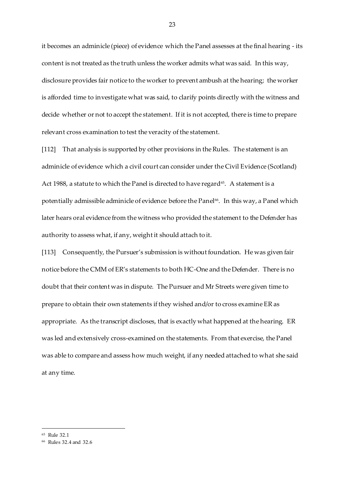it becomes an adminicle (piece) of evidence which the Panel assesses at the final hearing - its content is not treated as the truth unless the worker admits what was said. In this way, disclosure provides fair notice to the worker to prevent ambush at the hearing; the worker is afforded time to investigate what was said, to clarify points directly with the witness and decide whether or not to accept the statement. If it is not accepted, there is time to prepare relevant cross examination to test the veracity of the statement.

[112] That analysis is supported by other provisions in the Rules. The statement is an adminicle of evidence which a civil court can consider under the Civil Evidence (Scotland) Act 1988, a statute to which the Panel is directed to have regard<sup>65</sup>. A statement is a potentially admissible adminicle of evidence before the Panel". In this way, a Panel which later hears oral evidence from the witness who provided the statement to the Defender has authority to assess what, if any, weight it should attach to it.

[113] Consequently, the Pursuer's submission is without foundation. He was given fair notice before the CMM of ER's statements to both HC-One and the Defender. There is no doubt that their content was in dispute. The Pursuer and Mr Streets were given time to prepare to obtain their own statements if they wished and/or to cross examine ER as appropriate. As the transcript discloses, that is exactly what happened at the hearing. ER was led and extensively cross-examined on the statements. From that exercise, the Panel was able to compare and assess how much weight, if any needed attached to what she said at any time.

<sup>65</sup> Rule 32.1

<sup>66</sup> Rules 32.4 and 32.6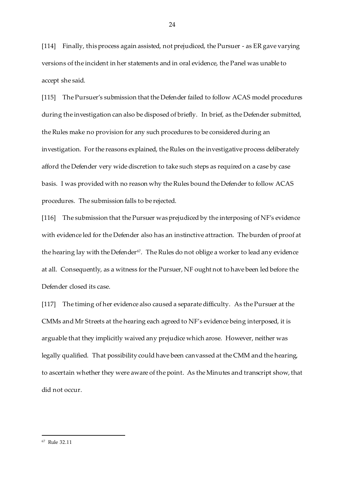[114] Finally, this process again assisted, not prejudiced, the Pursuer - as ER gave varying versions of the incident in her statements and in oral evidence, the Panel was unable to accept she said.

[115] The Pursuer's submission that the Defender failed to follow ACAS model procedures during the investigation can also be disposed of briefly. In brief, as the Defender submitted, the Rules make no provision for any such procedures to be considered during an investigation. For the reasons explained, the Rules on the investigative process deliberately afford the Defender very wide discretion to take such steps as required on a case by case basis. I was provided with no reason why the Rules bound the Defender to follow ACAS procedures. The submission falls to be rejected.

[116] The submission that the Pursuer was prejudiced by the interposing of NF's evidence with evidence led for the Defender also has an instinctive attraction. The burden of proof at the hearing lay with the Defender<sup>67</sup>. The Rules do not oblige a worker to lead any evidence at all. Consequently, as a witness for the Pursuer, NF ought not to have been led before the Defender closed its case.

[117] The timing of her evidence also caused a separate difficulty. As the Pursuer at the CMMs and Mr Streets at the hearing each agreed to NF's evidence being interposed, it is arguable that they implicitly waived any prejudice which arose. However, neither was legally qualified. That possibility could have been canvassed at the CMM and the hearing, to ascertain whether they were aware of the point. As the Minutes and transcript show, that did not occur.

<sup>67</sup> Rule 32.11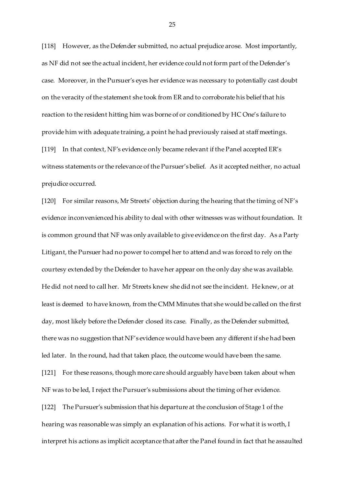[118] However, as the Defender submitted, no actual prejudice arose. Most importantly, as NF did not see the actual incident, her evidence could not form part of the Defender's case. Moreover, in the Pursuer's eyes her evidence was necessary to potentially cast doubt on the veracity of the statement she took from ER and to corroborate his belief that his reaction to the resident hitting him was borne of or conditioned by HC One's failure to provide him with adequate training, a point he had previously raised at staff meetings. [119] In that context, NF's evidence only became relevant if the Panel accepted ER's witness statements or the relevance of the Pursuer's belief. As it accepted neither, no actual prejudice occurred.

[120] For similar reasons, Mr Streets' objection during the hearing that the timing of NF's evidence inconvenienced his ability to deal with other witnesses was without foundation. It is common ground that NF was only available to give evidence on the first day. As a Party Litigant, the Pursuer had no power to compel her to attend and was forced to rely on the courtesy extended by the Defender to have her appear on the only day she was available. He did not need to call her. Mr Streets knew she did not see the incident. He knew, or at least is deemed to have known, from the CMM Minutes that she would be called on the first day, most likely before the Defender closed its case. Finally, as the Defender submitted, there was no suggestion that NF's evidence would have been any different if she had been led later. In the round, had that taken place, the outcome would have been the same. [121] For these reasons, though more care should arguably have been taken about when NF was to be led, I reject the Pursuer's submissions about the timing of her evidence. [122] The Pursuer's submission that his departure at the conclusion of Stage 1 of the hearing was reasonable was simply an explanation of his actions. For what it is worth, I interpret his actions as implicit acceptance that after the Panel found in fact that he assaulted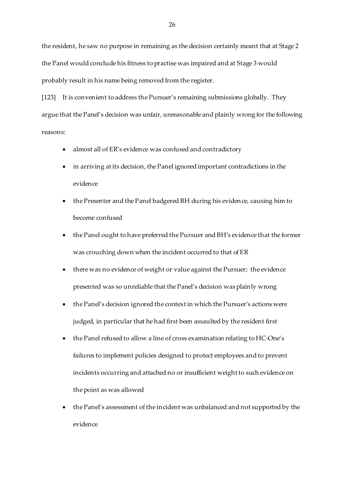the resident, he saw no purpose in remaining as the decision certainly meant that at Stage 2 the Panel would conclude his fitness to practise was impaired and at Stage 3 would probably result in his name being removed from the register.

[123] It is convenient to address the Pursuer's remaining submissions globally. They argue that the Panel's decision was unfair, unreasonable and plainly wrong for the following reasons:

- almost all of ER's evidence was confused and contradictory
- in arriving at its decision, the Panel ignored important contradictions in the evidence
- the Presenter and the Panel badgered BH during his evidence, causing him to become confused
- the Panel ought to have preferred the Pursuer and BH's evidence that the former was crouching down when the incident occurred to that of ER
- there was no evidence of weight or value against the Pursuer; the evidence presented was so unreliable that the Panel's decision was plainly wrong
- the Panel's decision ignored the context in which the Pursuer's actions were judged, in particular that he had first been assaulted by the resident first
- the Panel refused to allow a line of cross examination relating to HC-One's failures to implement policies designed to protect employees and to prevent incidents occurring and attached no or insufficient weight to such evidence on the point as was allowed
- the Panel's assessment of the incident was unbalanced and not supported by the evidence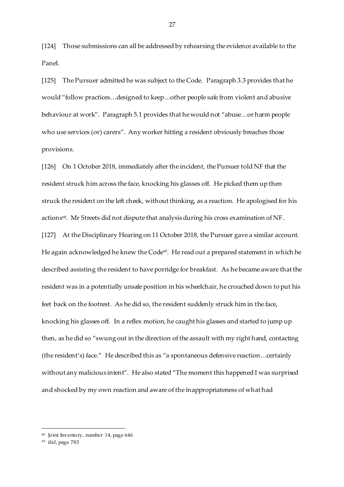[124] Those submissions can all be addressed by rehearsing the evidence available to the Panel.

[125] The Pursuer admitted he was subject to the Code. Paragraph 3.3 provides that he would "follow practices…designed to keep…other people safe from violent and abusive behaviour at work". Paragraph 5.1 provides that he would not "abuse…or harm people who use services (or) carers". Any worker hitting a resident obviously breaches those provisions.

[126] On 1 October 2018, immediately after the incident, the Pursuer told NF that the resident struck him across the face, knocking his glasses off. He picked them up then struck the resident on the left cheek, without thinking, as a reaction. He apologised for his actions $^{68}$ . Mr Streets did not dispute that analysis during his cross examination of NF.

[127] At the Disciplinary Hearing on 11 October 2018, the Pursuer gave a similar account. He again acknowledged he knew the Code<sup>69</sup>. He read out a prepared statement in which he described assisting the resident to have porridge for breakfast. As he became aware that the resident was in a potentially unsafe position in his wheelchair, he crouched down to put his feet back on the footrest. As he did so, the resident suddenly struck him in the face, knocking his glasses off. In a reflex motion, he caught his glasses and started to jump up then, as he did so "swung out in the direction of the assault with my right hand, contacting (the resident's) face." He described this as "a spontaneous defensive reaction…certainly without any malicious intent". He also stated "The moment this happened I was surprised and shocked by my own reaction and aware of the inappropriateness of what had

 $\overline{a}$ 

<sup>68</sup> Joint Inventory, number 14, page 646

<sup>69</sup> i*bid*, page 783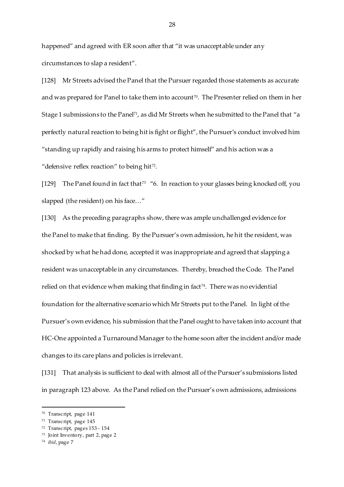happened" and agreed with ER soon after that "it was unacceptable under any circumstances to slap a resident".

[128] Mr Streets advised the Panel that the Pursuer regarded those statements as accurate and was prepared for Panel to take them into account $^{\tau_0}.$  The Presenter relied on them in her Stage 1 submissions to the Panel<sup>71</sup>, as did Mr Streets when he submitted to the Panel that "a perfectly natural reaction to being hit is fight or flight", the Pursuer's conduct involved him "standing up rapidly and raising his arms to protect himself" and his action was a "defensive reflex reaction" to being hit $^{72}$ .

[129] The Panel found in fact that<sup>73</sup> "6. In reaction to your glasses being knocked off, you slapped (the resident) on his face…"

[130] As the preceding paragraphs show, there was ample unchallenged evidence for the Panel to make that finding. By the Pursuer's own admission, he hit the resident, was shocked by what he had done, accepted it was inappropriate and agreed that slapping a resident was unacceptable in any circumstances. Thereby, breached the Code. The Panel relied on that evidence when making that finding in fact<sup>74</sup>. There was no evidential foundation for the alternative scenario which Mr Streets put to the Panel. In light of the Pursuer's own evidence, his submission that the Panel ought to have taken into account that HC-One appointed a Turnaround Manager to the home soon after the incident and/or made changes to its care plans and policies is irrelevant.

[131] That analysis is sufficient to deal with almost all of the Pursuer's submissions listed in paragraph 123 above. As the Panel relied on the Pursuer's own admissions, admissions

<sup>70</sup> Transcript, page 141

<sup>71</sup> Transcript, page 145

<sup>72</sup> Transcript, pages 153 - 154

<sup>73</sup> Joint Inventory, part 2, page 2

<sup>74</sup> *ibid*, page 7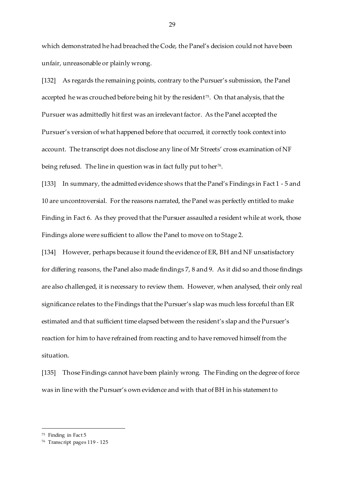which demonstrated he had breached the Code, the Panel's decision could not have been unfair, unreasonable or plainly wrong.

[132] As regards the remaining points, contrary to the Pursuer's submission, the Panel accepted he was crouched before being hit by the resident<sup>75</sup>. On that analysis*,* that the Pursuer was admittedly hit first was an irrelevant factor. As the Panel accepted the Pursuer's version of what happened before that occurred, it correctly took context into account. The transcript does not disclose any line of Mr Streets' cross examination of NF being refused. The line in question was in fact fully put to her $^{76}$ .

[133] In summary, the admitted evidence shows that the Panel's Findings in Fact 1 - 5 and 10 are uncontroversial. For the reasons narrated, the Panel was perfectly entitled to make Finding in Fact 6. As they proved that the Pursuer assaulted a resident while at work, those Findings alone were sufficient to allow the Panel to move on to Stage 2.

[134] However, perhaps because it found the evidence of ER, BH and NF unsatisfactory for differing reasons, the Panel also made findings 7, 8 and 9. As it did so and those findings are also challenged, it is necessary to review them. However, when analysed, their only real significance relates to the Findings that the Pursuer's slap was much less forceful than ER estimated and that sufficient time elapsed between the resident's slap and the Pursuer's reaction for him to have refrained from reacting and to have removed himself from the situation.

[135] Those Findings cannot have been plainly wrong. The Finding on the degree of force was in line with the Pursuer's own evidence and with that of BH in his statement to

<sup>75</sup> Finding in Fact 5

<sup>76</sup> Transcript pages 119 - 125